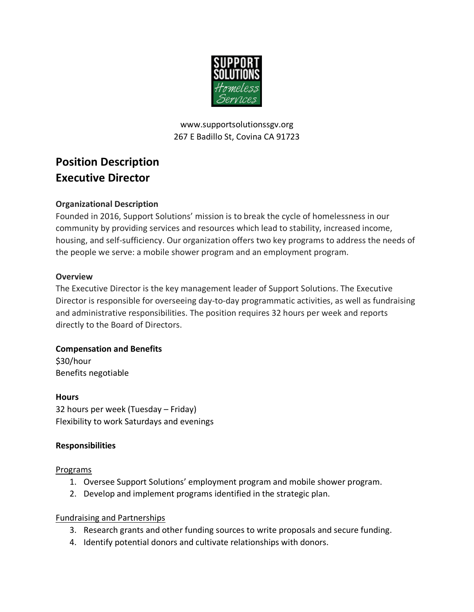

www.supportsolutionssgv.org 267 E Badillo St, Covina CA 91723

# **Position Description Executive Director**

#### **Organizational Description**

Founded in 2016, Support Solutions' mission is to break the cycle of homelessness in our community by providing services and resources which lead to stability, increased income, housing, and self-sufficiency. Our organization offers two key programs to address the needs of the people we serve: a mobile shower program and an employment program.

#### **Overview**

The Executive Director is the key management leader of Support Solutions. The Executive Director is responsible for overseeing day-to-day programmatic activities, as well as fundraising and administrative responsibilities. The position requires 32 hours per week and reports directly to the Board of Directors.

## **Compensation and Benefits** \$30/hour Benefits negotiable

**Hours** 32 hours per week (Tuesday – Friday) Flexibility to work Saturdays and evenings

# **Responsibilities**

#### Programs

- 1. Oversee Support Solutions' employment program and mobile shower program.
- 2. Develop and implement programs identified in the strategic plan.

#### Fundraising and Partnerships

- 3. Research grants and other funding sources to write proposals and secure funding.
- 4. Identify potential donors and cultivate relationships with donors.